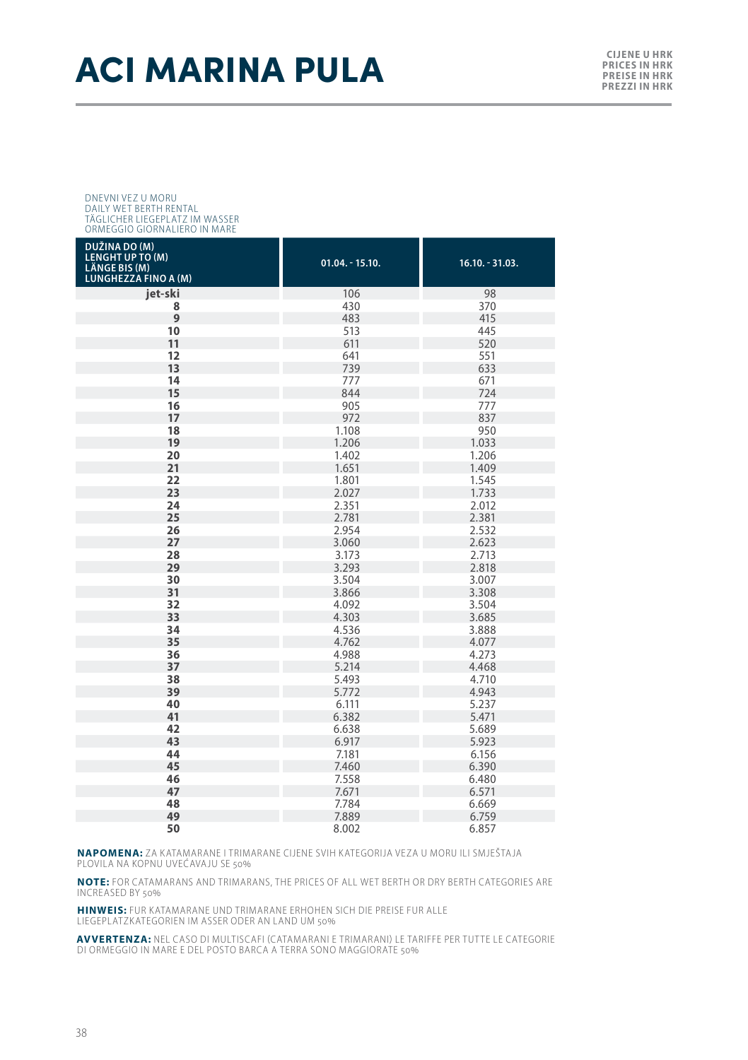### **ACI MARINA PULA**

#### DNEVNI VEZ U MORU DAILY WET BERTH RENTAL TÄGLICHER LIEGEPLATZ IM WASSER ORMEGGIO GIORNALIERO IN MARE

| DUŽINA DO (M)<br><b>LENGHT UP TO (M)</b><br><b>LÄNGE BIS (M)</b><br>LUNGHEZZA FINO A (M) | $01.04. - 15.10.$ | $16.10. - 31.03.$ |
|------------------------------------------------------------------------------------------|-------------------|-------------------|
| jet-ski                                                                                  | 106               | 98                |
| 8                                                                                        | 430               | 370               |
| 9                                                                                        | 483               | 415               |
| 10                                                                                       | 513               | 445               |
| 11                                                                                       | 611               | 520               |
| 12                                                                                       | 641               | 551               |
| 13                                                                                       | 739               | 633               |
| 14                                                                                       | 777               | 671               |
| 15                                                                                       | 844               | 724               |
| 16                                                                                       | 905               | 777               |
| 17                                                                                       | 972               | 837               |
| 18                                                                                       | 1.108             | 950               |
| 19                                                                                       | 1.206             | 1.033             |
| 20                                                                                       | 1.402             | 1.206             |
| 21                                                                                       | 1.651             | 1.409             |
| 22                                                                                       | 1.801             | 1.545             |
| 23                                                                                       | 2.027             | 1.733             |
| 24                                                                                       | 2.351             | 2.012             |
| 25                                                                                       | 2.781             | 2.381             |
| 26                                                                                       | 2.954             | 2.532             |
| 27                                                                                       | 3.060             | 2.623             |
| 28                                                                                       | 3.173             | 2.713             |
| 29                                                                                       | 3.293             | 2.818             |
| 30                                                                                       | 3.504             | 3.007             |
| 31                                                                                       | 3.866             | 3.308             |
| 32                                                                                       | 4.092             | 3.504             |
| 33                                                                                       | 4.303             | 3.685             |
| 34                                                                                       | 4.536             | 3.888             |
| 35                                                                                       | 4.762             | 4.077             |
| 36                                                                                       | 4.988             | 4.273             |
| 37                                                                                       | 5.214             | 4.468             |
| 38                                                                                       | 5.493             | 4.710             |
| 39                                                                                       | 5.772             | 4.943             |
| 40                                                                                       | 6.111             | 5.237             |
| 41                                                                                       | 6.382             | 5.471             |
| 42                                                                                       | 6.638             | 5.689             |
| 43                                                                                       | 6.917             | 5.923             |
| 44                                                                                       | 7.181             | 6.156             |
| 45                                                                                       | 7.460             | 6.390             |
| 46                                                                                       | 7.558             | 6.480             |
| 47                                                                                       | 7.671             | 6.571             |
| 48                                                                                       | 7.784             | 6.669             |
| 49                                                                                       | 7.889             | 6.759             |
| 50                                                                                       | 8.002             | 6.857             |

**NAPOMENA:** ZA KATAMARANE I TRIMARANE CIJENE SVIH KATEGORIJA VEZA U MORU ILI SMJEŠTAJA<br>PLOVILA NA KOPNU UVEĆAVAJU SE 50%

**NOTE:** FOR CATAMARANS AND TRIMARANS, THE PRICES OF ALL WET BERTH OR DRY BERTH CATEGORIES ARE INCREASED BY 50%

**HINWEIS:** FUR KATAMARANE UND TRIMARANE ERHOHEN SICH DIE PREISE FUR ALLE LIEGEPLATZKATEGORIEN IM ASSER ODER AN LAND UM 50%

**AVVERTENZA:** NEL CASO DI MULTISCAFI (CATAMARANI E TRIMARANI) LE TARIFFE PER TUT TE LE CATEGORIE DI ORMEGGIO IN MARE E DEL POSTO BARCA A TERRA SONO MAGGIORATE 50%